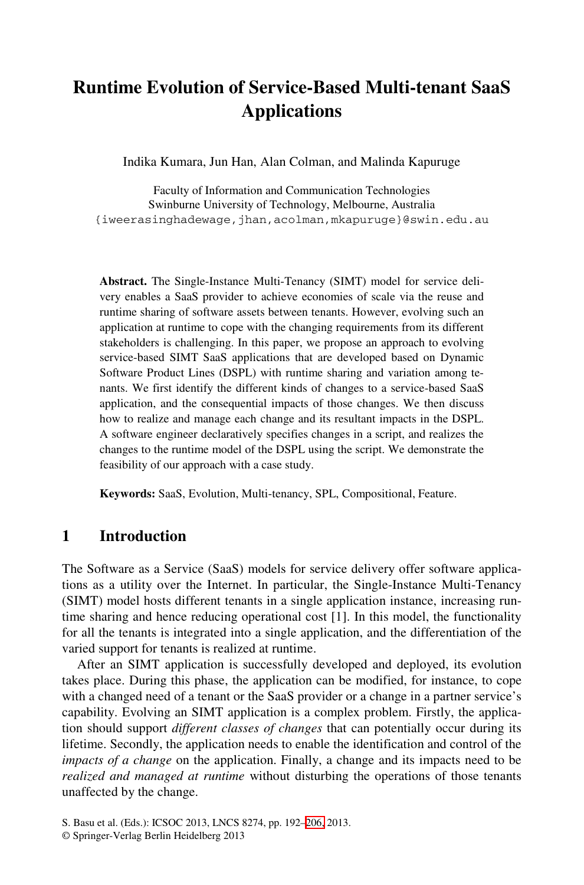# **Runtime Evolution of Service-Based Multi-tenant SaaS Applications**

Indika Kumara, Jun Han, Alan Colman, and Malinda Kapuruge

Faculty of Information and Communication Technologies Swinburne University of Technology, Melbourne, Australia {iweerasinghadewage,jhan,acolman,mkapuruge}@swin.edu.au

**Abstract.** The Single-Instance Multi-Tenancy (SIMT) model for service delivery enables a SaaS provider to achieve economies of scale via the reuse and runtime sharing of software assets between tenants. However, evolving such an application at runtime to cope with the changing requirements from its different stakeholders is challenging. In this paper, we propose an approach to evolving service-based SIMT SaaS applications that are developed based on Dynamic Software Product Lines (DSPL) with runtime sharing and variation among tenants. We first identify the different kinds of changes to a service-based SaaS application, and the consequential impacts of those changes. We then discuss how to realize and manage each change and its resultant impacts in the DSPL. A software engineer declaratively specifies changes in a script, and realizes the changes to the runtime model of the DSPL using the script. We demonstrate the feasibility of our approach with a case study.

**Keywords:** SaaS, Evolution, Multi-tenancy, SPL, Compositional, Feature.

#### **1 Introduction**

The Software as a Service (SaaS) models for service delivery offer software applications as a utility over the Internet. In particular, the Single-Instance Multi-Tenancy (SIMT) model hosts different tenants in a single application instance, increasing runtime sharing and hence reducing operational cost [1]. In this model, the functionality for all the tenants is integrated into a single application, and the differentiation of the varied support for tenants is realized at runtime.

After an SIMT application is successfully developed and deployed, its evolution takes place. During this phase, the application can be modified, for instance, to cope with a changed need of a t[enan](#page-14-0)t or the SaaS provider or a change in a partner service's capability. Evolving an SIMT application is a complex problem. Firstly, the application should support *different classes of changes* that can potentially occur during its lifetime. Secondly, the application needs to enable the identification and control of the *impacts of a change* on the application. Finally, a change and its impacts need to be *realized and managed at runtime* without disturbing the operations of those tenants unaffected by the change.

S. Basu et al. (Eds.): ICSOC 2013, LNCS 8274, pp. 192–206, 2013.

<sup>©</sup> Springer-Verlag Berlin Heidelberg 2013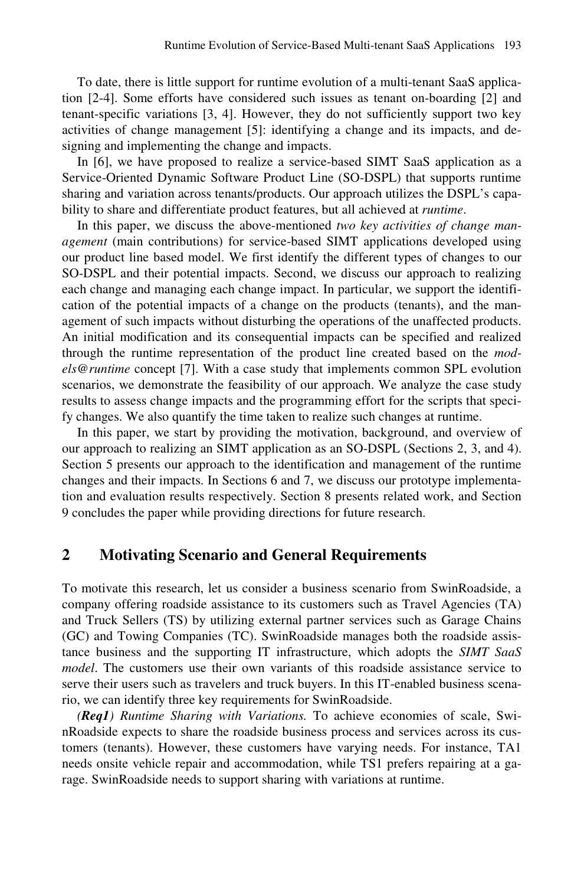To date, there is little support for runtime evolution of a multi-tenant SaaS application [2-4]. Some efforts have considered such issues as tenant on-boarding [2] and tenant-specific variations [3, 4]. However, they do not sufficiently support two key activities of change management [5]: identifying a change and its impacts, and designing and implementing the change and impacts.

In [6], we have proposed to realize a service-based SIMT SaaS application as a Service-Oriented Dynamic Software Product Line (SO-DSPL) that supports runtime sharing and variation across tenants/products. Our approach utilizes the DSPL's capability to share and differentiate product features, but all achieved at *runtime*.

In this paper, we discuss the above-mentioned *two key activities of change management* (main contributions) for service-based SIMT applications developed using our product line based model. We first identify the different types of changes to our SO-DSPL and their potential impacts. Second, we discuss our approach to realizing each change and managing each change impact. In particular, we support the identification of the potential impacts of a change on the products (tenants), and the management of such impacts without disturbing the operations of the unaffected products. An initial modification and its consequential impacts can be specified and realized through the runtime representation of the product line created based on the *models@runtime* concept [7]. With a case study that implements common SPL evolution scenarios, we demonstrate the feasibility of our approach. We analyze the case study results to assess change impacts and the programming effort for the scripts that specify changes. We also quantify the time taken to realize such changes at runtime.

In this paper, we start by providing the motivation, background, and overview of our approach to realizing an SIMT application as an SO-DSPL (Sections 2, 3, and 4). Section 5 presents our approach to the identification and management of the runtime changes and their impacts. In Sections 6 and 7, we discuss our prototype implementation and evaluation results respectively. Section 8 presents related work, and Section 9 concludes the paper while providing directions for future research.

### **2 Motivating Scenario and General Requirements**

To motivate this research, let us consider a business scenario from SwinRoadside, a company offering roadside assistance to its customers such as Travel Agencies (TA) and Truck Sellers (TS) by utilizing external partner services such as Garage Chains (GC) and Towing Companies (TC). SwinRoadside manages both the roadside assistance business and the supporting IT infrastructure, which adopts the *SIMT SaaS model*. The customers use their own variants of this roadside assistance service to serve their users such as travelers and truck buyers. In this IT-enabled business scenario, we can identify three key requirements for SwinRoadside.

*(Req1) Runtime Sharing with Variations.* To achieve economies of scale, SwinRoadside expects to share the roadside business process and services across its customers (tenants). However, these customers have varying needs. For instance, TA1 needs onsite vehicle repair and accommodation, while TS1 prefers repairing at a garage. SwinRoadside needs to support sharing with variations at runtime.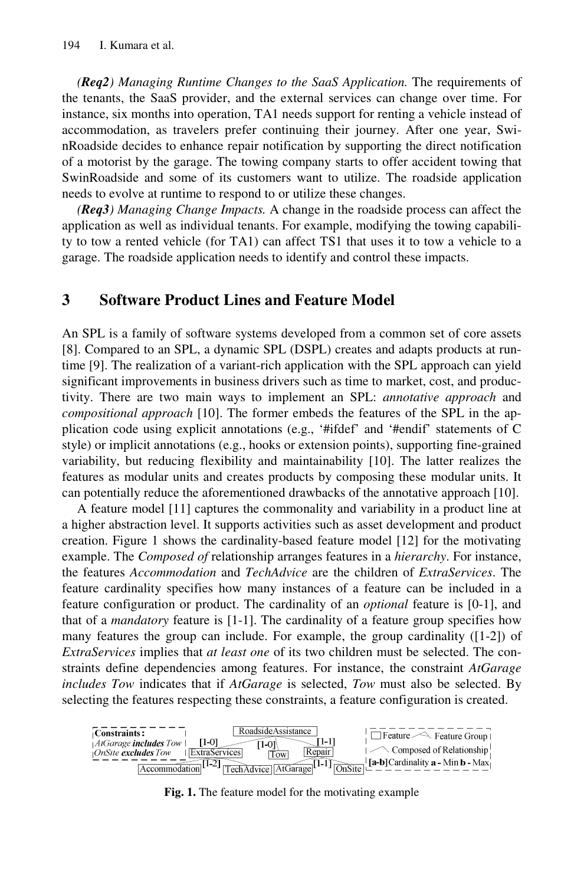*(Req2) Managing Runtime Changes to the SaaS Application.* The requirements of the tenants, the SaaS provider, and the external services can change over time. For instance, six months into operation, TA1 needs support for renting a vehicle instead of accommodation, as travelers prefer continuing their journey. After one year, SwinRoadside decides to enhance repair notification by supporting the direct notification of a motorist by the garage. The towing company starts to offer accident towing that SwinRoadside and some of its customers want to utilize. The roadside application needs to evolve at runtime to respond to or utilize these changes.

*(Req3) Managing Change Impacts.* A change in the roadside process can affect the application as well as individual tenants. For example, modifying the towing capability to tow a rented vehicle (for TA1) can affect TS1 that uses it to tow a vehicle to a garage. The roadside application needs to identify and control these impacts.

## **3 Software Product Lines and Feature Model**

An SPL is a family of software systems developed from a common set of core assets [8]. Compared to an SPL, a dynamic SPL (DSPL) creates and adapts products at runtime [9]. The realization of a variant-rich application with the SPL approach can yield significant improvements in business drivers such as time to market, cost, and productivity. There are two main ways to implement an SPL: *annotative approach* and *compositional approach* [10]. The former embeds the features of the SPL in the application code using explicit annotations (e.g., '#ifdef' and '#endif' statements of C style) or implicit annotations (e.g., hooks or extension points), supporting fine-grained variability, but reducing flexibility and maintainability [10]. The latter realizes the features as modular units and creates products by composing these modular units. It can potentially reduce the aforementioned drawbacks of the annotative approach [10].

A feature model [11] captures the commonality and variability in a product line at a higher abstraction level. It supports activities such as asset development and product creation. Figure 1 shows the cardinality-based feature model [12] for the motivating example. The *Composed of* relationship arranges features in a *hierarchy*. For instance, the features *Accommodation* and *TechAdvice* are the children of *ExtraServices*. The feature cardinality specifies how many instances of a feature can be included in a feature configuration or product. The cardinality of an *optional* feature is [0-1], and that of a *mandatory* feature is [1-1]. The cardinality of a feature group specifies how many features the group can include. For example, the group cardinality ([1-2]) of *ExtraServices* implies that *at least one* of its two children must be selected. The constraints define dependencies among features. For instance, the constraint *AtGarage includes Tow* indicates that if *AtGarage* is selected, *Tow* must also be selected. By selecting the features respecting these constraints, a feature configuration is created.



**Fig. 1.** The feature model for the motivating example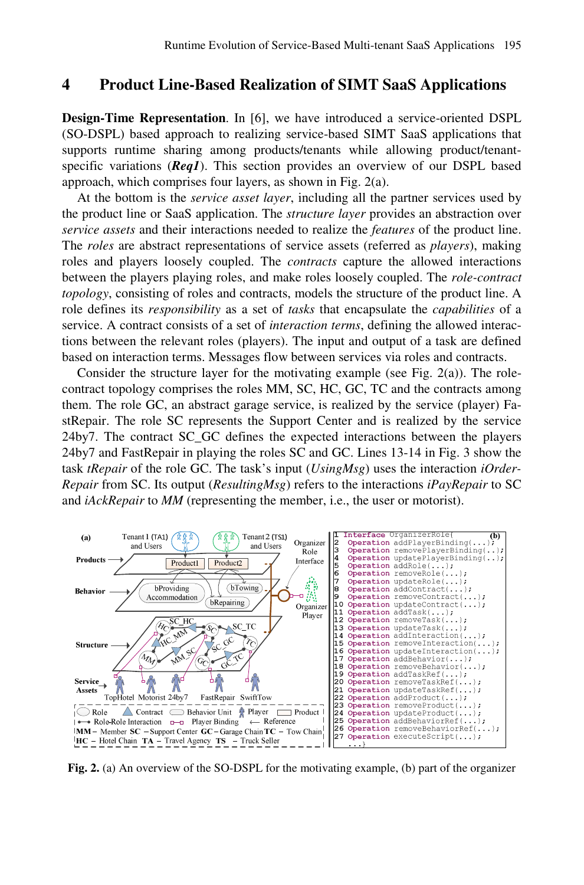## **4 Product Line-Based Realization of SIMT SaaS Applications**

**Design-Time Representation**. In [6], we have introduced a service-oriented DSPL (SO-DSPL) based approach to realizing service-based SIMT SaaS applications that supports runtime sharing among products/tenants while allowing product/tenantspecific variations (*Req1*). This section provides an overview of our DSPL based approach, which comprises four layers, as shown in Fig. 2(a).

At the bottom is the *service asset layer*, including all the partner services used by the product line or SaaS application. The *structure layer* provides an abstraction over *service assets* and their interactions needed to realize the *features* of the product line. The *roles* are abstract representations of service assets (referred as *players*), making roles and players loosely coupled. The *contracts* capture the allowed interactions between the players playing roles, and make roles loosely coupled. The *role-contract topology*, consisting of roles and contracts, models the structure of the product line. A role defines its *responsibility* as a set of *tasks* that encapsulate the *capabilities* of a service. A contract consists of a set of *interaction terms*, defining the allowed interactions between the relevant roles (players). The input and output of a task are defined based on interaction terms. Messages flow between services via roles and contracts.

Consider the structure layer for the motivating example (see Fig.  $2(a)$ ). The rolecontract topology comprises the roles MM, SC, HC, GC, TC and the contracts among them. The role GC, an abstract garage service, is realized by the service (player) FastRepair. The role SC represents the Support Center and is realized by the service 24by7. The contract SC\_GC defines the expected interactions between the players 24by7 and FastRepair in playing the roles SC and GC. Lines 13-14 in Fig. 3 show the task *tRepair* of the role GC. The task's input (*UsingMsg*) uses the interaction *iOrder-Repair* from SC. Its output (*ResultingMsg*) refers to the interactions *iPayRepair* to SC and *iAckRepair* to *MM* (representing the member, i.e., the user or motorist).



**Fig. 2.** (a) An overview of the SO-DSPL for the motivating example, (b) part of the organizer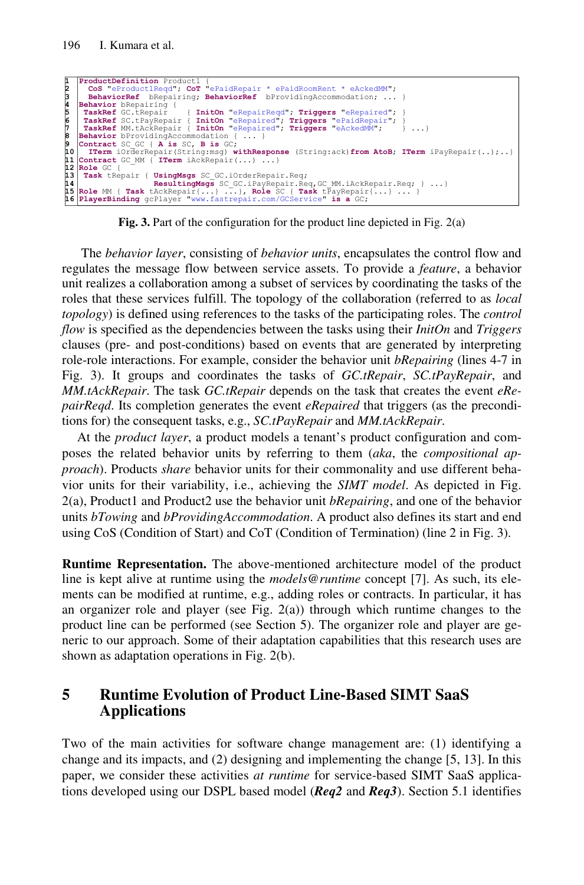```
1 ProductDefinition Product1 {<br>
2 Cos "eProductIReqd"; Cor "ePaidRepair * ePaidRoomRent * eAckedMM";<br>
3 Behavior Repairing (<br>
12 InskRef CC.tRepair ( Initon "eRepaired"; Triggers "eRepaired";<br>
72 T
 3 BehaviorRef bRepairing; BehaviorRef bProvidingAccommodation; ... }
4 Behavior bRepairing {
 5 TaskRef GC.tRepair ( InitOn "eRepairReqd"; Triggers "eRepaired"; }<br>6 TaskRef SC.tPayRepair ( InitOn "eRepaired"; Triggers "ePaidRepair"; }<br>7 TaskRef MM.tAckRepair ( InitOn "eRepaired"; Triggers "eAckedMM"; } ...}<br>8 Behav
 9 Contract SC_GC { A is SC, B is GC;
10 ITerm iOrderRepair(String:msg) withResponse (String:ack)from AtoB; ITerm iPayRepair(..);..}
 11 Contract GC_MM { ITerm iAckRepair(...) ...}<br>12 Robie GC {<br>13 Pask tRepair { UsingMsgs SC_GC.iOrderRepair.Req;<br>13 Task tRepair { UsingMsgs SC_GC.iPayRepair.Req; GC_MM.iAckRepair.Req; } ...}<br>15 Role MM { Task tRepair(...)
```
**Fig. 3.** Part of the configuration for the product line depicted in Fig. 2(a)

The *behavior layer*, consisting of *behavior units*, encapsulates the control flow and regulates the message flow between service assets. To provide a *feature*, a behavior unit realizes a collaboration among a subset of services by coordinating the tasks of the roles that these services fulfill. The topology of the collaboration (referred to as *local topology*) is defined using references to the tasks of the participating roles. The *control flow* is specified as the dependencies between the tasks using their *InitOn* and *Triggers*  clauses (pre- and post-conditions) based on events that are generated by interpreting role-role interactions. For example, consider the behavior unit *bRepairing* (lines 4-7 in Fig. 3). It groups and coordinates the tasks of *GC.tRepair*, *SC.tPayRepair*, and *MM.tAckRepair*. The task *GC.tRepair* depends on the task that creates the event *eRepairReqd*. Its completion generates the event *eRepaired* that triggers (as the preconditions for) the consequent tasks, e.g., *SC.tPayRepair* and *MM.tAckRepair*.

At the *product layer*, a product models a tenant's product configuration and composes the related behavior units by referring to them (*aka*, the *compositional approach*). Products *share* behavior units for their commonality and use different behavior units for their variability, i.e., achieving the *SIMT model*. As depicted in Fig. 2(a), Product1 and Product2 use the behavior unit *bRepairing*, and one of the behavior units *bTowing* and *bProvidingAccommodation*. A product also defines its start and end using CoS (Condition of Start) and CoT (Condition of Termination) (line 2 in Fig. 3).

**Runtime Representation.** The above-mentioned architecture model of the product line is kept alive at runtime using the *models@runtime* concept [7]. As such, its elements can be modified at runtime, e.g., adding roles or contracts. In particular, it has an organizer role and player (see Fig. 2(a)) through which runtime changes to the product line can be performed (see Section 5). The organizer role and player are generic to our approach. Some of their adaptation capabilities that this research uses are shown as adaptation operations in Fig. 2(b).

## **5 Runtime Evolution of Product Line-Based SIMT SaaS Applications**

Two of the main activities for software change management are: (1) identifying a change and its impacts, and (2) designing and implementing the change [5, 13]. In this paper, we consider these activities *at runtime* for service-based SIMT SaaS applications developed using our DSPL based model (*Req2* and *Req3*). Section 5.1 identifies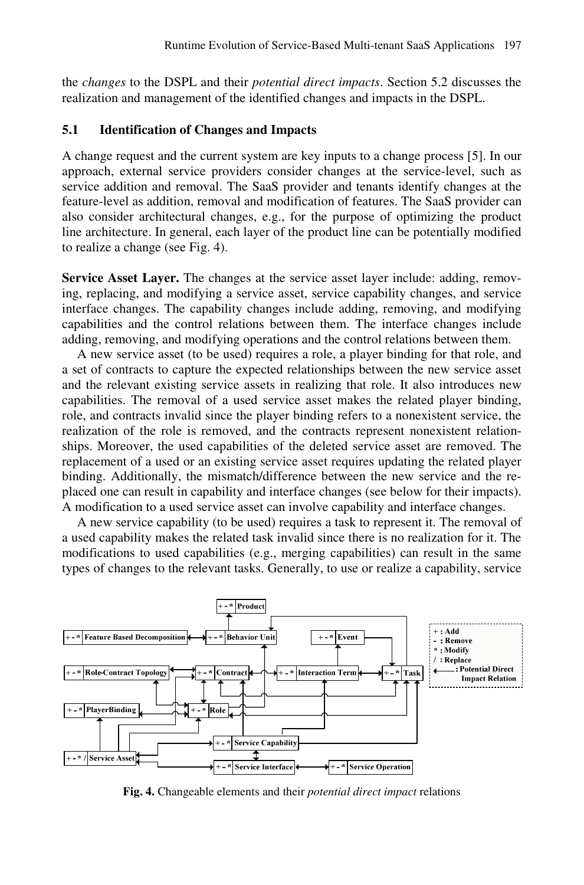the *changes* to the DSPL and their *potential direct impacts*. Section 5.2 discusses the realization and management of the identified changes and impacts in the DSPL.

#### **5.1 Identification of Changes and Impacts**

A change request and the current system are key inputs to a change process [5]. In our approach, external service providers consider changes at the service-level, such as service addition and removal. The SaaS provider and tenants identify changes at the feature-level as addition, removal and modification of features. The SaaS provider can also consider architectural changes, e.g., for the purpose of optimizing the product line architecture. In general, each layer of the product line can be potentially modified to realize a change (see Fig. 4).

**Service Asset Layer.** The changes at the service asset layer include: adding, removing, replacing, and modifying a service asset, service capability changes, and service interface changes. The capability changes include adding, removing, and modifying capabilities and the control relations between them. The interface changes include adding, removing, and modifying operations and the control relations between them.

A new service asset (to be used) requires a role, a player binding for that role, and a set of contracts to capture the expected relationships between the new service asset and the relevant existing service assets in realizing that role. It also introduces new capabilities. The removal of a used service asset makes the related player binding, role, and contracts invalid since the player binding refers to a nonexistent service, the realization of the role is removed, and the contracts represent nonexistent relationships. Moreover, the used capabilities of the deleted service asset are removed. The replacement of a used or an existing service asset requires updating the related player binding. Additionally, the mismatch/difference between the new service and the replaced one can result in capability and interface changes (see below for their impacts). A modification to a used service asset can involve capability and interface changes.

A new service capability (to be used) requires a task to represent it. The removal of a used capability makes the related task invalid since there is no realization for it. The modifications to used capabilities (e.g., merging capabilities) can result in the same types of changes to the relevant tasks. Generally, to use or realize a capability, service



**Fig. 4.** Changeable elements and their *potential direct impact* relations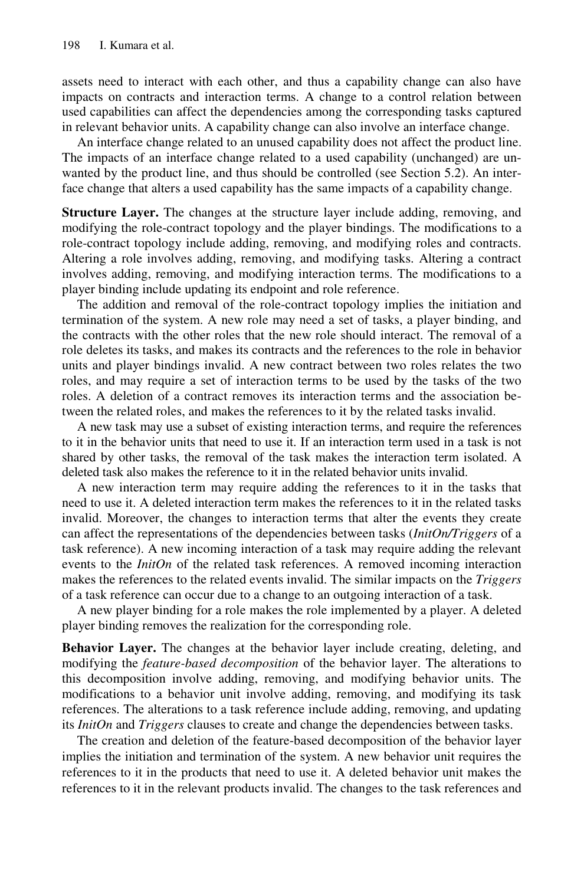assets need to interact with each other, and thus a capability change can also have impacts on contracts and interaction terms. A change to a control relation between used capabilities can affect the dependencies among the corresponding tasks captured in relevant behavior units. A capability change can also involve an interface change.

An interface change related to an unused capability does not affect the product line. The impacts of an interface change related to a used capability (unchanged) are unwanted by the product line, and thus should be controlled (see Section 5.2). An interface change that alters a used capability has the same impacts of a capability change.

**Structure Layer.** The changes at the structure layer include adding, removing, and modifying the role-contract topology and the player bindings. The modifications to a role-contract topology include adding, removing, and modifying roles and contracts. Altering a role involves adding, removing, and modifying tasks. Altering a contract involves adding, removing, and modifying interaction terms. The modifications to a player binding include updating its endpoint and role reference.

The addition and removal of the role-contract topology implies the initiation and termination of the system. A new role may need a set of tasks, a player binding, and the contracts with the other roles that the new role should interact. The removal of a role deletes its tasks, and makes its contracts and the references to the role in behavior units and player bindings invalid. A new contract between two roles relates the two roles, and may require a set of interaction terms to be used by the tasks of the two roles. A deletion of a contract removes its interaction terms and the association between the related roles, and makes the references to it by the related tasks invalid.

A new task may use a subset of existing interaction terms, and require the references to it in the behavior units that need to use it. If an interaction term used in a task is not shared by other tasks, the removal of the task makes the interaction term isolated. A deleted task also makes the reference to it in the related behavior units invalid.

A new interaction term may require adding the references to it in the tasks that need to use it. A deleted interaction term makes the references to it in the related tasks invalid. Moreover, the changes to interaction terms that alter the events they create can affect the representations of the dependencies between tasks (*InitOn/Triggers* of a task reference). A new incoming interaction of a task may require adding the relevant events to the *InitOn* of the related task references. A removed incoming interaction makes the references to the related events invalid. The similar impacts on the *Triggers*  of a task reference can occur due to a change to an outgoing interaction of a task.

A new player binding for a role makes the role implemented by a player. A deleted player binding removes the realization for the corresponding role.

**Behavior Layer.** The changes at the behavior layer include creating, deleting, and modifying the *feature-based decomposition* of the behavior layer. The alterations to this decomposition involve adding, removing, and modifying behavior units. The modifications to a behavior unit involve adding, removing, and modifying its task references. The alterations to a task reference include adding, removing, and updating its *InitOn* and *Triggers* clauses to create and change the dependencies between tasks.

The creation and deletion of the feature-based decomposition of the behavior layer implies the initiation and termination of the system. A new behavior unit requires the references to it in the products that need to use it. A deleted behavior unit makes the references to it in the relevant products invalid. The changes to the task references and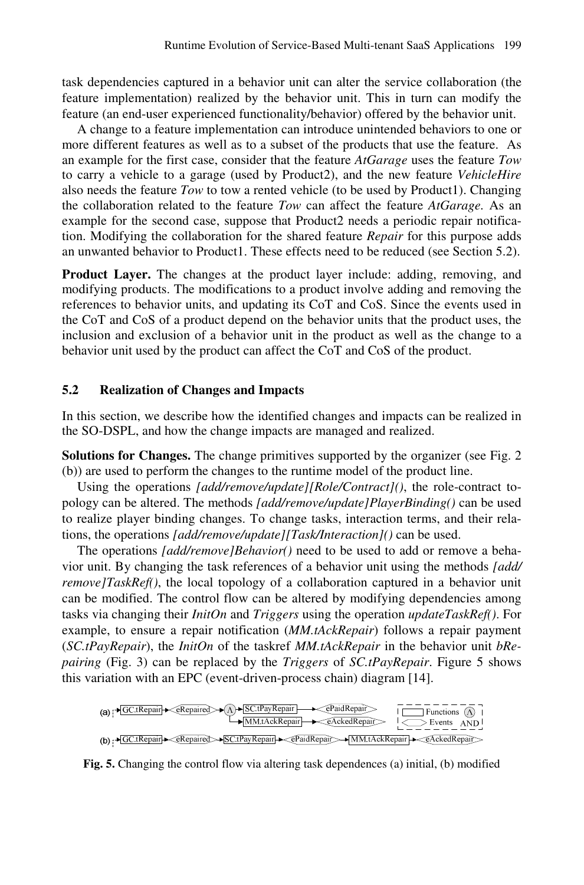task dependencies captured in a behavior unit can alter the service collaboration (the feature implementation) realized by the behavior unit. This in turn can modify the feature (an end-user experienced functionality/behavior) offered by the behavior unit.

A change to a feature implementation can introduce unintended behaviors to one or more different features as well as to a subset of the products that use the feature. As an example for the first case, consider that the feature *AtGarage* uses the feature *Tow* to carry a vehicle to a garage (used by Product2), and the new feature *VehicleHire* also needs the feature *Tow* to tow a rented vehicle (to be used by Product1). Changing the collaboration related to the feature *Tow* can affect the feature *AtGarage.* As an example for the second case, suppose that Product2 needs a periodic repair notification. Modifying the collaboration for the shared feature *Repair* for this purpose adds an unwanted behavior to Product1. These effects need to be reduced (see Section 5.2).

**Product Layer.** The changes at the product layer include: adding, removing, and modifying products. The modifications to a product involve adding and removing the references to behavior units, and updating its CoT and CoS. Since the events used in the CoT and CoS of a product depend on the behavior units that the product uses, the inclusion and exclusion of a behavior unit in the product as well as the change to a behavior unit used by the product can affect the CoT and CoS of the product.

#### **5.2 Realization of Changes and Impacts**

In this section, we describe how the identified changes and impacts can be realized in the SO-DSPL, and how the change impacts are managed and realized.

**Solutions for Changes.** The change primitives supported by the organizer (see Fig. 2 (b)) are used to perform the changes to the runtime model of the product line.

Using the operations *[add/remove/update][Role/Contract]()*, the role-contract topology can be altered. The methods *[add/remove/update]PlayerBinding()* can be used to realize player binding changes. To change tasks, interaction terms, and their relations, the operations *[add/remove/update][Task/Interaction]()* can be used.

The operations *[add/remove]Behavior()* need to be used to add or remove a behavior unit. By changing the task references of a behavior unit using the methods *[add/ remove]TaskRef()*, the local topology of a collaboration captured in a behavior unit can be modified. The control flow can be altered by modifying dependencies among tasks via changing their *InitOn* and *Triggers* using the operation *updateTaskRef()*. For example, to ensure a repair notification (*MM.tAckRepair*) follows a repair payment (*SC.tPayRepair*), the *InitOn* of the taskref *MM.tAckRepair* in the behavior unit *bRepairing* (Fig. 3) can be replaced by the *Triggers* of *SC.tPayRepair*. Figure 5 shows this variation with an EPC (event-driven-process chain) diagram [14].



**Fig. 5.** Changing the control flow via altering task dependences (a) initial, (b) modified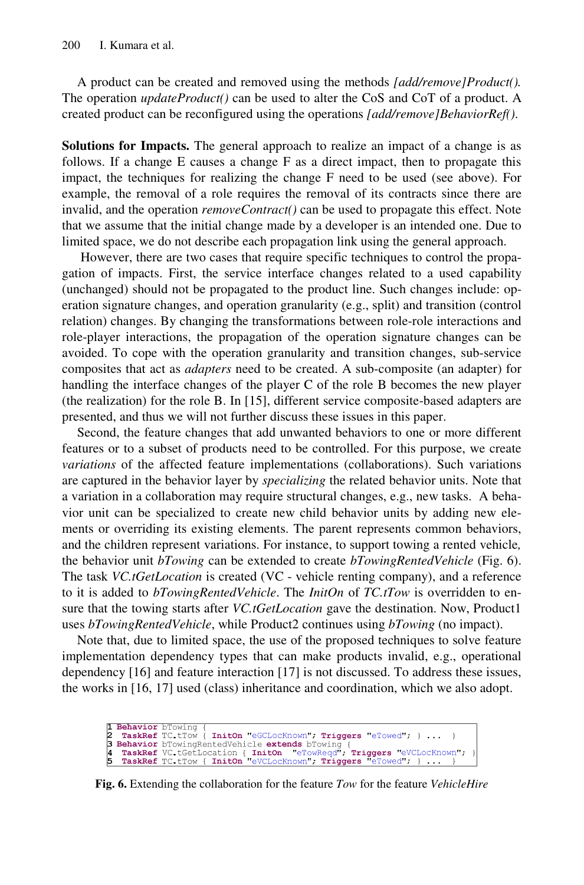A product can be created and removed using the methods *[add/remove]Product().*  The operation *updateProduct()* can be used to alter the CoS and CoT of a product. A created product can be reconfigured using the operations *[add/remove]BehaviorRef()*.

**Solutions for Impacts.** The general approach to realize an impact of a change is as follows. If a change E causes a change F as a direct impact, then to propagate this impact, the techniques for realizing the change F need to be used (see above). For example, the removal of a role requires the removal of its contracts since there are invalid, and the operation *removeContract()* can be used to propagate this effect. Note that we assume that the initial change made by a developer is an intended one. Due to limited space, we do not describe each propagation link using the general approach.

 However, there are two cases that require specific techniques to control the propagation of impacts. First, the service interface changes related to a used capability (unchanged) should not be propagated to the product line. Such changes include: operation signature changes, and operation granularity (e.g., split) and transition (control relation) changes. By changing the transformations between role-role interactions and role-player interactions, the propagation of the operation signature changes can be avoided. To cope with the operation granularity and transition changes, sub-service composites that act as *adapters* need to be created. A sub-composite (an adapter) for handling the interface changes of the player C of the role B becomes the new player (the realization) for the role B. In [15], different service composite-based adapters are presented, and thus we will not further discuss these issues in this paper.

Second, the feature changes that add unwanted behaviors to one or more different features or to a subset of products need to be controlled. For this purpose, we create *variations* of the affected feature implementations (collaborations). Such variations are captured in the behavior layer by *specializing* the related behavior units. Note that a variation in a collaboration may require structural changes, e.g., new tasks. A behavior unit can be specialized to create new child behavior units by adding new elements or overriding its existing elements. The parent represents common behaviors, and the children represent variations. For instance, to support towing a rented vehicle*,*  the behavior unit *bTowing* can be extended to create *bTowingRentedVehicle* (Fig. 6). The task *VC.tGetLocation* is created (VC - vehicle renting company), and a reference to it is added to *bTowingRentedVehicle*. The *InitOn* of *TC.tTow* is overridden to ensure that the towing starts after *VC.tGetLocation* gave the destination. Now, Product1 uses *bTowingRentedVehicle*, while Product2 continues using *bTowing* (no impact).

Note that, due to limited space, the use of the proposed techniques to solve feature implementation dependency types that can make products invalid, e.g., operational dependency [16] and feature interaction [17] is not discussed. To address these issues, the works in [16, 17] used (class) inheritance and coordination, which we also adopt.

|  | 1 Behavior bTowing                                                                                |
|--|---------------------------------------------------------------------------------------------------|
|  | 2 TaskRef TC.tTow { InitOn "eGCLocKnown"; Triggers "eTowed"; }  }                                 |
|  | <b>3 Behavior</b> bTowingRentedVehicle extends bTowing {                                          |
|  | 4 TaskRef VC.tGetLocation { InitOn "eTowReqd"; Triqqers "eVCLocKnown"; }                          |
|  | <b>5 TaskRef</b> $TC$ .tTow { <b>InitOn</b> "eVCLocKnown"; <b>Triqqers</b> "eTowed"; } $\ldots$ } |

**Fig. 6.** Extending the collaboration for the feature *Tow* for the feature *VehicleHire*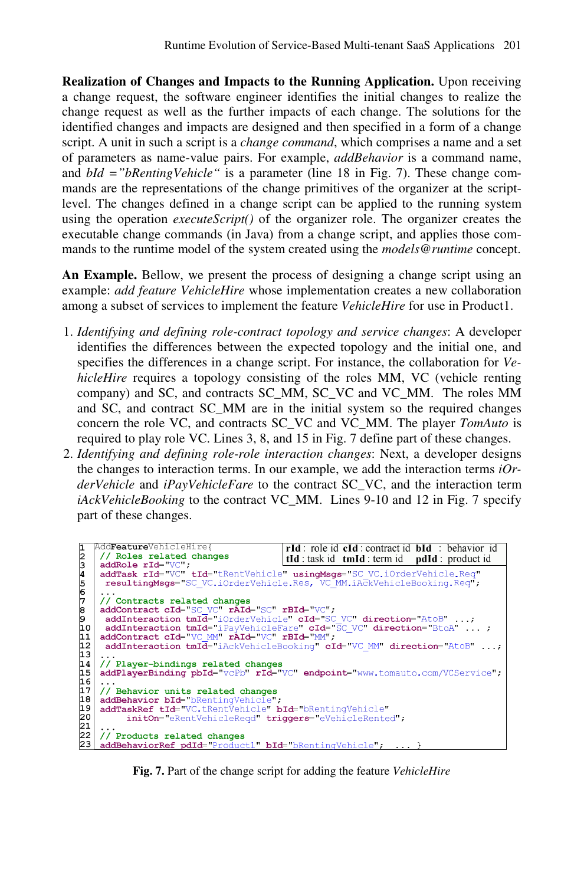**Realization of Changes and Impacts to the Running Application.** Upon receiving a change request, the software engineer identifies the initial changes to realize the change request as well as the further impacts of each change. The solutions for the identified changes and impacts are designed and then specified in a form of a change script. A unit in such a script is a *change command*, which comprises a name and a set of parameters as name-value pairs. For example, *addBehavior* is a command name, and *bId ="bRentingVehicle"* is a parameter (line 18 in Fig. 7). These change commands are the representations of the change primitives of the organizer at the scriptlevel. The changes defined in a change script can be applied to the running system using the operation *executeScript()* of the organizer role. The organizer creates the executable change commands (in Java) from a change script, and applies those commands to the runtime model of the system created using the *models@runtime* concept.

**An Example.** Bellow, we present the process of designing a change script using an example: *add feature VehicleHire* whose implementation creates a new collaboration among a subset of services to implement the feature *VehicleHire* for use in Product1.

- 1. *Identifying and defining role-contract topology and service changes*: A developer identifies the differences between the expected topology and the initial one, and specifies the differences in a change script. For instance, the collaboration for *VehicleHire* requires a topology consisting of the roles MM, VC (vehicle renting company) and SC, and contracts SC\_MM, SC\_VC and VC\_MM. The roles MM and SC, and contract SC\_MM are in the initial system so the required changes concern the role VC, and contracts SC\_VC and VC\_MM. The player *TomAuto* is required to play role VC. Lines 3, 8, and 15 in Fig. 7 define part of these changes.
- 2. *Identifying and defining role-role interaction changes*: Next, a developer designs the changes to interaction terms. In our example, we add the interaction terms *iOrderVehicle* and *iPayVehicleFare* to the contract SC\_VC, and the interaction term *iAckVehicleBooking* to the contract VC\_MM. Lines 9-10 and 12 in Fig. 7 specify part of these changes.

```
AddFeatureVehicleHire{
                                                                           rId: role id cId: contract id bId: behavior id
123456789011123456789012223
        // Roles related changes
                                                                           tId: task id tmId: term id pdId: product id
       Alternation and the relation of the set of the set of the relation of the relation of addRole rId="VC";<br>addRole rId="VC"; tId="tRentVehicle" usingMsgs="SC_VC.iOrderVehicle.Req";<br>resultingMsgs="SC_VC.iOrderVehicle.Res, VC_M
        // Contracts related changes
       // Contracts related changes<br>
addContract ofd="SC_VC" rAId="SC" rBId="VC";<br>
addContraction tmId="iOrderVehicle" cId="SC_VC" direction="AtoB" ...;<br>
addInteraction tmId="iPayVehicleFare" cId="SC_VC" direction="BtoA" ...<br>
add
                                                                                                                                            \ldots ;
       addContract cId="VC MM" rAId="VC" rBId="MM";
         addInteraction tmId="iAckVehicleBooking" cId="VC MM" direction="AtoB" ...;
       ...<br>
// Player-bindings related changes<br>
addPlayerBinding pbId="vcPb" rId="vC" endpoint="www.tomauto.com/VCService";
       ...<br>
// Behavior units related changes<br>
addBehavior bId="bRentingVehicle";<br>
addTaskRef tId="VC.tRentVehicle" bId="bRentingVehicle"<br>
initOn="eRentVehicleReqd" triggers="eVehicleRented";
       ...<br>
// Products related changes<br>
addBehaviorRef pdId="Product1" bId="bRentinqVehicle";
```
**Fig. 7.** Part of the change script for adding the feature *VehicleHire*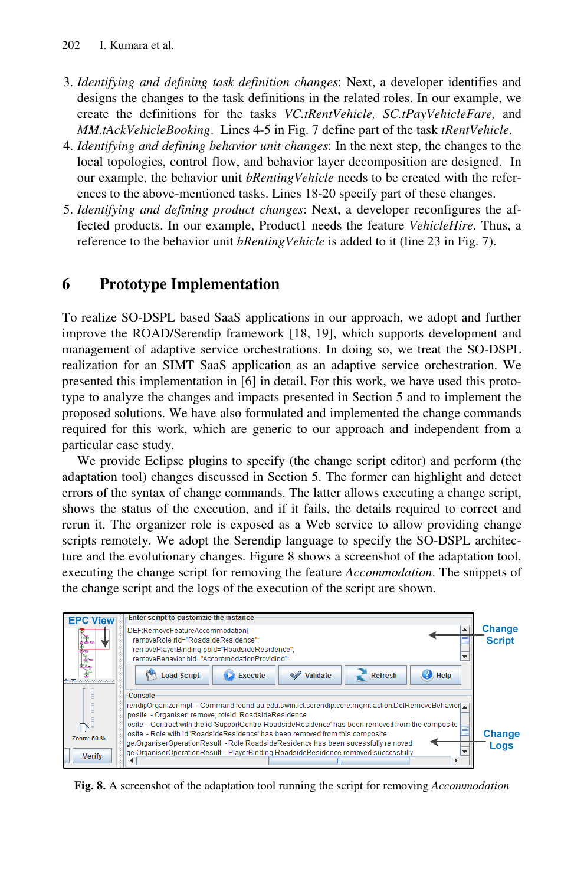- 3. *Identifying and defining task definition changes*: Next, a developer identifies and designs the changes to the task definitions in the related roles. In our example, we create the definitions for the tasks *VC.tRentVehicle, SC.tPayVehicleFare,* and *MM.tAckVehicleBooking*. Lines 4-5 in Fig. 7 define part of the task *tRentVehicle*.
- 4. *Identifying and defining behavior unit changes*: In the next step, the changes to the local topologies, control flow, and behavior layer decomposition are designed. In our example, the behavior unit *bRentingVehicle* needs to be created with the references to the above-mentioned tasks. Lines 18-20 specify part of these changes.
- 5. *Identifying and defining product changes*: Next, a developer reconfigures the affected products. In our example, Product1 needs the feature *VehicleHire*. Thus, a reference to the behavior unit *bRentingVehicle* is added to it (line 23 in Fig. 7).

## **6 Prototype Implementation**

To realize SO-DSPL based SaaS applications in our approach, we adopt and further improve the ROAD/Serendip framework [18, 19], which supports development and management of adaptive service orchestrations. In doing so, we treat the SO-DSPL realization for an SIMT SaaS application as an adaptive service orchestration. We presented this implementation in [6] in detail. For this work, we have used this prototype to analyze the changes and impacts presented in Section 5 and to implement the proposed solutions. We have also formulated and implemented the change commands required for this work, which are generic to our approach and independent from a particular case study.

We provide Eclipse plugins to specify (the change script editor) and perform (the adaptation tool) changes discussed in Section 5. The former can highlight and detect errors of the syntax of change commands. The latter allows executing a change script, shows the status of the execution, and if it fails, the details required to correct and rerun it. The organizer role is exposed as a Web service to allow providing change scripts remotely. We adopt the Serendip language to specify the SO-DSPL architecture and the evolutionary changes. Figure 8 shows a screenshot of the adaptation tool, executing the change script for removing the feature *Accommodation*. The snippets of the change script and the logs of the execution of the script are shown.



**Fig. 8.** A screenshot of the adaptation tool running the script for removing *Accommodation*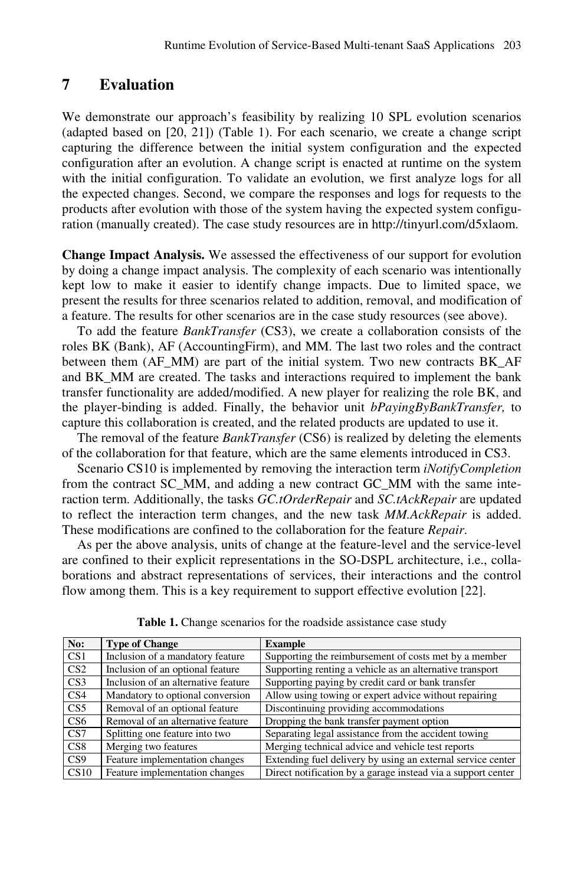## **7 Evaluation**

We demonstrate our approach's feasibility by realizing 10 SPL evolution scenarios (adapted based on [20, 21]) (Table 1). For each scenario, we create a change script capturing the difference between the initial system configuration and the expected configuration after an evolution. A change script is enacted at runtime on the system with the initial configuration. To validate an evolution, we first analyze logs for all the expected changes. Second, we compare the responses and logs for requests to the products after evolution with those of the system having the expected system configuration (manually created). The case study resources are in http://tinyurl.com/d5xlaom.

**Change Impact Analysis.** We assessed the effectiveness of our support for evolution by doing a change impact analysis. The complexity of each scenario was intentionally kept low to make it easier to identify change impacts. Due to limited space, we present the results for three scenarios related to addition, removal, and modification of a feature. The results for other scenarios are in the case study resources (see above).

To add the feature *BankTransfer* (CS3), we create a collaboration consists of the roles BK (Bank), AF (AccountingFirm), and MM. The last two roles and the contract between them (AF\_MM) are part of the initial system. Two new contracts BK\_AF and BK\_MM are created. The tasks and interactions required to implement the bank transfer functionality are added/modified. A new player for realizing the role BK, and the player-binding is added. Finally, the behavior unit *bPayingByBankTransfer,* to capture this collaboration is created, and the related products are updated to use it.

The removal of the feature *BankTransfer* (CS6) is realized by deleting the elements of the collaboration for that feature, which are the same elements introduced in CS3.

Scenario CS10 is implemented by removing the interaction term *iNotifyCompletion* from the contract SC\_MM, and adding a new contract GC\_MM with the same interaction term. Additionally, the tasks *GC.tOrderRepair* and *SC.tAckRepair* are updated to reflect the interaction term changes, and the new task *MM.AckRepair* is added. These modifications are confined to the collaboration for the feature *Repair*.

As per the above analysis, units of change at the feature-level and the service-level are confined to their explicit representations in the SO-DSPL architecture, i.e., collaborations and abstract representations of services, their interactions and the control flow among them. This is a key requirement to support effective evolution [22].

| No:             | <b>Type of Change</b>               | <b>Example</b>                                               |
|-----------------|-------------------------------------|--------------------------------------------------------------|
| CS <sub>1</sub> | Inclusion of a mandatory feature    | Supporting the reimbursement of costs met by a member        |
| CS <sub>2</sub> | Inclusion of an optional feature    | Supporting renting a vehicle as an alternative transport     |
| CS <sub>3</sub> | Inclusion of an alternative feature | Supporting paying by credit card or bank transfer            |
| CS <sub>4</sub> | Mandatory to optional conversion    | Allow using towing or expert advice without repairing        |
| CS <sub>5</sub> | Removal of an optional feature      | Discontinuing providing accommodations                       |
| CS <sub>6</sub> | Removal of an alternative feature   | Dropping the bank transfer payment option                    |
| CS <sub>7</sub> | Splitting one feature into two      | Separating legal assistance from the accident towing         |
| CS <sub>8</sub> | Merging two features                | Merging technical advice and vehicle test reports            |
| CS9             | Feature implementation changes      | Extending fuel delivery by using an external service center  |
| CS10            | Feature implementation changes      | Direct notification by a garage instead via a support center |

**Table 1.** Change scenarios for the roadside assistance case study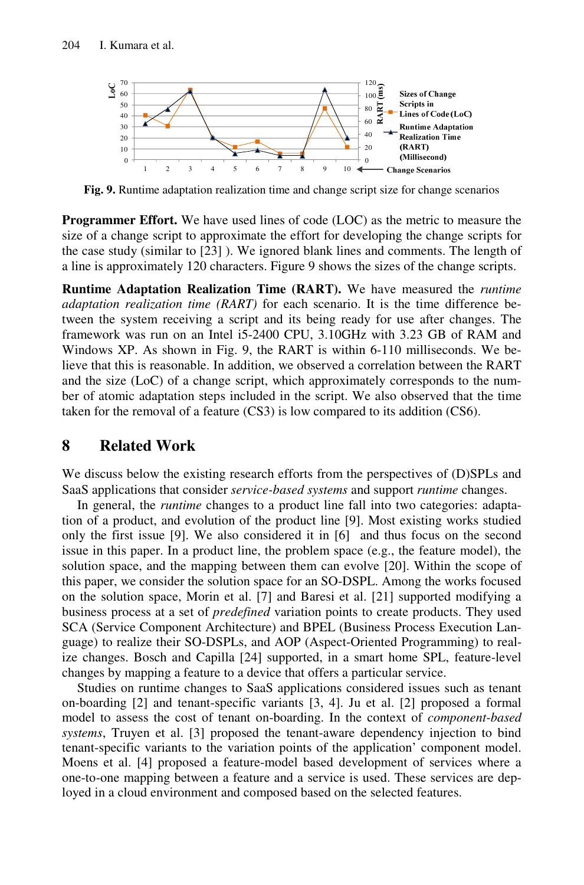

**Fig. 9.** Runtime adaptation realization time and change script size for change scenarios

**Programmer Effort.** We have used lines of code (LOC) as the metric to measure the size of a change script to approximate the effort for developing the change scripts for the case study (similar to [23] ). We ignored blank lines and comments. The length of a line is approximately 120 characters. Figure 9 shows the sizes of the change scripts.

**Runtime Adaptation Realization Time (RART).** We have measured the *runtime adaptation realization time (RART)* for each scenario. It is the time difference between the system receiving a script and its being ready for use after changes. The framework was run on an Intel i5-2400 CPU, 3.10GHz with 3.23 GB of RAM and Windows XP. As shown in Fig. 9, the RART is within 6-110 milliseconds. We believe that this is reasonable. In addition, we observed a correlation between the RART and the size (LoC) of a change script, which approximately corresponds to the number of atomic adaptation steps included in the script. We also observed that the time taken for the removal of a feature (CS3) is low compared to its addition (CS6).

#### **8 Related Work**

We discuss below the existing research efforts from the perspectives of (D)SPLs and SaaS applications that consider *service-based systems* and support *runtime* changes.

In general, the *runtime* changes to a product line fall into two categories: adaptation of a product, and evolution of the product line [9]. Most existing works studied only the first issue [9]. We also considered it in [6] and thus focus on the second issue in this paper. In a product line, the problem space (e.g., the feature model), the solution space, and the mapping between them can evolve [20]. Within the scope of this paper, we consider the solution space for an SO-DSPL. Among the works focused on the solution space, Morin et al. [7] and Baresi et al. [21] supported modifying a business process at a set of *predefined* variation points to create products. They used SCA (Service Component Architecture) and BPEL (Business Process Execution Language) to realize their SO-DSPLs, and AOP (Aspect-Oriented Programming) to realize changes. Bosch and Capilla [24] supported, in a smart home SPL, feature-level changes by mapping a feature to a device that offers a particular service.

Studies on runtime changes to SaaS applications considered issues such as tenant on-boarding [2] and tenant-specific variants [3, 4]. Ju et al. [2] proposed a formal model to assess the cost of tenant on-boarding. In the context of *component-based systems*, Truyen et al. [3] proposed the tenant-aware dependency injection to bind tenant-specific variants to the variation points of the application' component model. Moens et al. [4] proposed a feature-model based development of services where a one-to-one mapping between a feature and a service is used. These services are deployed in a cloud environment and composed based on the selected features.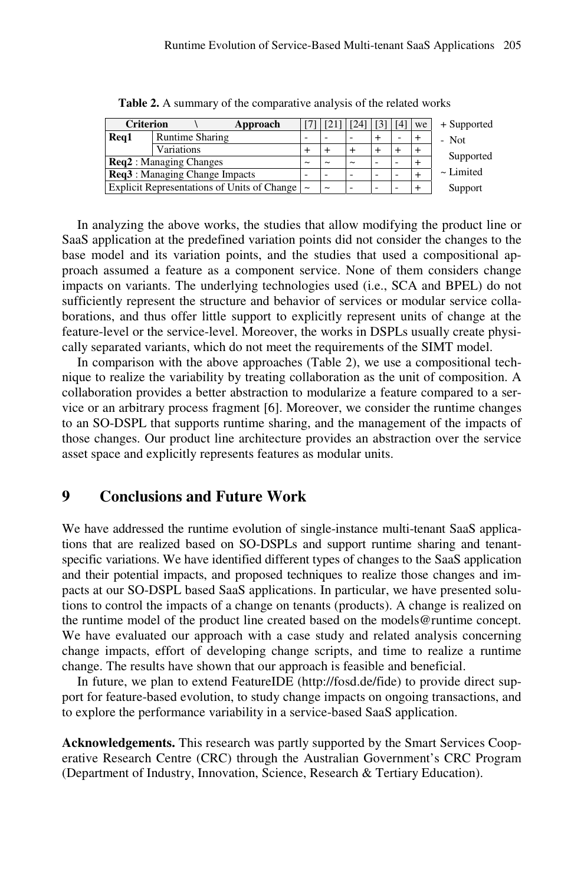| <b>Criterion</b><br>Approach                |                        |  |        |                          | [24    |   | Γ4              | we | + Supported    |
|---------------------------------------------|------------------------|--|--------|--------------------------|--------|---|-----------------|----|----------------|
| Req1                                        | <b>Runtime Sharing</b> |  | -      | -                        |        |   | $\qquad \qquad$ |    | - Not          |
|                                             | Variations             |  |        |                          |        |   |                 |    |                |
| <b>Req2</b> : Managing Changes              |                        |  | $\sim$ | $\sim$                   | $\sim$ | ۰ |                 |    | Supported      |
| <b>Req3</b> : Managing Change Impacts       |                        |  | -      | $\overline{\phantom{a}}$ | -      | ۰ |                 |    | $\sim$ Limited |
| Explicit Representations of Units of Change |                        |  |        | $\tilde{\phantom{a}}$    | -      | ۰ |                 |    | Support        |

**Table 2.** A summary of the comparative analysis of the related works

In analyzing the above works, the studies that allow modifying the product line or SaaS application at the predefined variation points did not consider the changes to the base model and its variation points, and the studies that used a compositional approach assumed a feature as a component service. None of them considers change impacts on variants. The underlying technologies used (i.e., SCA and BPEL) do not sufficiently represent the structure and behavior of services or modular service collaborations, and thus offer little support to explicitly represent units of change at the feature-level or the service-level. Moreover, the works in DSPLs usually create physically separated variants, which do not meet the requirements of the SIMT model.

In comparison with the above approaches (Table 2), we use a compositional technique to realize the variability by treating collaboration as the unit of composition. A collaboration provides a better abstraction to modularize a feature compared to a service or an arbitrary process fragment [6]. Moreover, we consider the runtime changes to an SO-DSPL that supports runtime sharing, and the management of the impacts of those changes. Our product line architecture provides an abstraction over the service asset space and explicitly represents features as modular units.

#### **9 Conclusions and Future Work**

We have addressed the runtime evolution of single-instance multi-tenant SaaS applications that are realized based on SO-DSPLs and support runtime sharing and tenantspecific variations. We have identified different types of changes to the SaaS application and their potential impacts, and proposed techniques to realize those changes and impacts at our SO-DSPL based SaaS applications. In particular, we have presented solutions to control the impacts of a change on tenants (products). A change is realized on the runtime model of the product line created based on the models@runtime concept. We have evaluated our approach with a case study and related analysis concerning change impacts, effort of developing change scripts, and time to realize a runtime change. The results have shown that our approach is feasible and beneficial.

In future, we plan to extend FeatureIDE (http://fosd.de/fide) to provide direct support for feature-based evolution, to study change impacts on ongoing transactions, and to explore the performance variability in a service-based SaaS application.

**Acknowledgements.** This research was partly supported by the Smart Services Cooperative Research Centre (CRC) through the Australian Government's CRC Program (Department of Industry, Innovation, Science, Research & Tertiary Education).